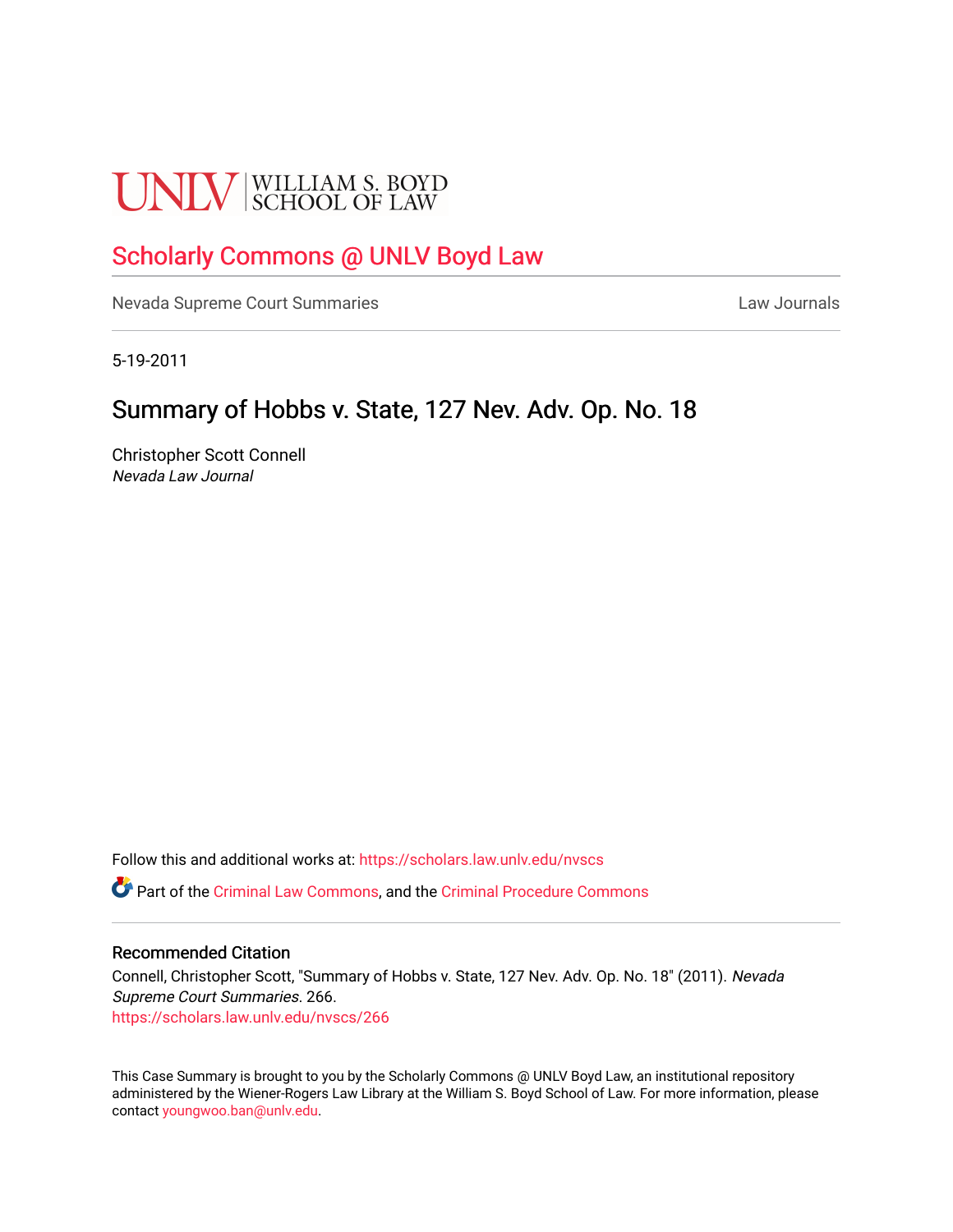# **UNLV** SCHOOL OF LAW

## [Scholarly Commons @ UNLV Boyd Law](https://scholars.law.unlv.edu/)

[Nevada Supreme Court Summaries](https://scholars.law.unlv.edu/nvscs) **Law Journals** Law Journals

5-19-2011

### Summary of Hobbs v. State, 127 Nev. Adv. Op. No. 18

Christopher Scott Connell Nevada Law Journal

Follow this and additional works at: [https://scholars.law.unlv.edu/nvscs](https://scholars.law.unlv.edu/nvscs?utm_source=scholars.law.unlv.edu%2Fnvscs%2F266&utm_medium=PDF&utm_campaign=PDFCoverPages)

Part of the [Criminal Law Commons,](http://network.bepress.com/hgg/discipline/912?utm_source=scholars.law.unlv.edu%2Fnvscs%2F266&utm_medium=PDF&utm_campaign=PDFCoverPages) and the [Criminal Procedure Commons](http://network.bepress.com/hgg/discipline/1073?utm_source=scholars.law.unlv.edu%2Fnvscs%2F266&utm_medium=PDF&utm_campaign=PDFCoverPages)

#### Recommended Citation

Connell, Christopher Scott, "Summary of Hobbs v. State, 127 Nev. Adv. Op. No. 18" (2011). Nevada Supreme Court Summaries. 266. [https://scholars.law.unlv.edu/nvscs/266](https://scholars.law.unlv.edu/nvscs/266?utm_source=scholars.law.unlv.edu%2Fnvscs%2F266&utm_medium=PDF&utm_campaign=PDFCoverPages)

This Case Summary is brought to you by the Scholarly Commons @ UNLV Boyd Law, an institutional repository administered by the Wiener-Rogers Law Library at the William S. Boyd School of Law. For more information, please contact [youngwoo.ban@unlv.edu](mailto:youngwoo.ban@unlv.edu).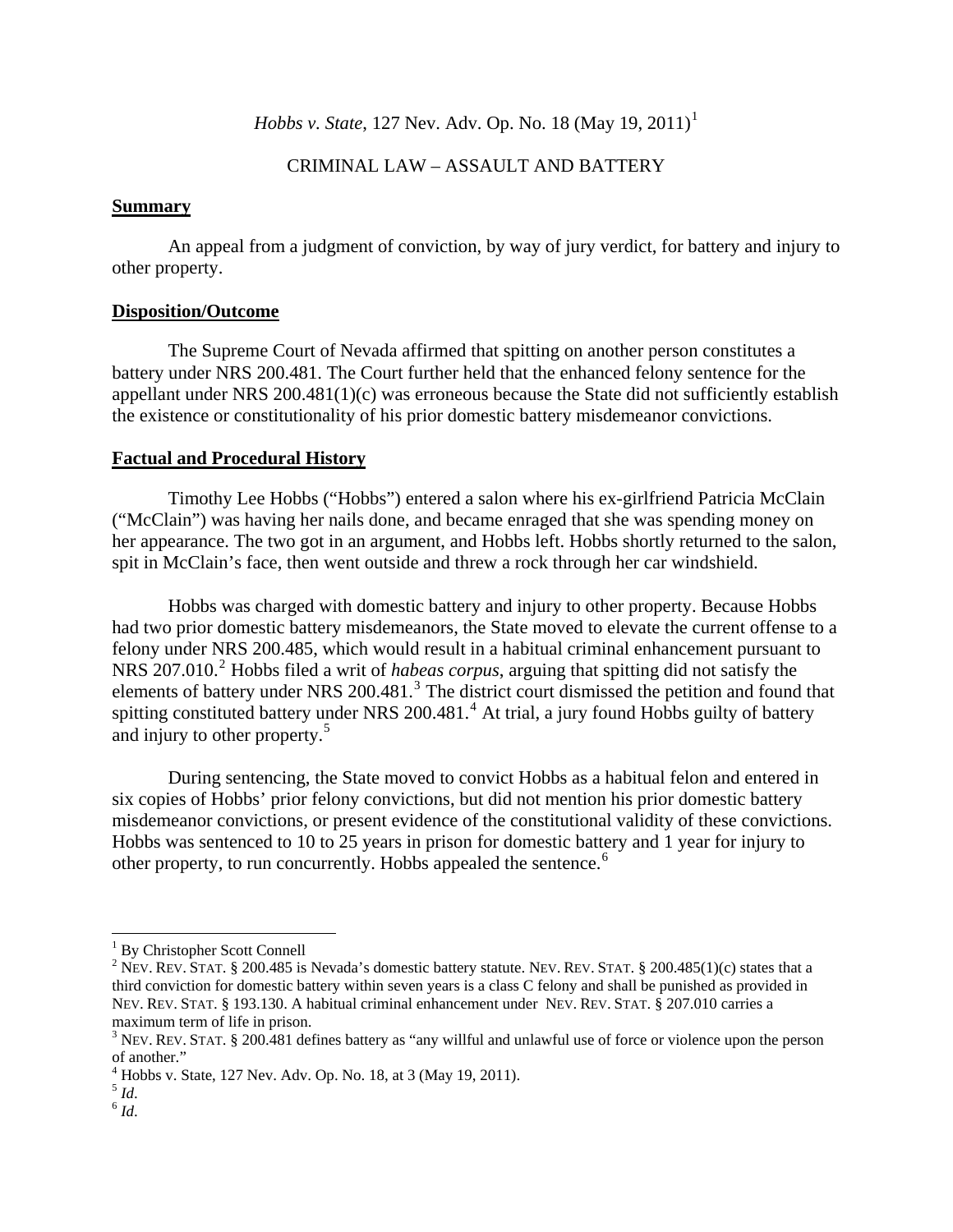*Hobbs v. State*, [1](#page-1-0)27 Nev. Adv. Op. No. 18 (May 19, 2011)<sup>1</sup>

#### CRIMINAL LAW – ASSAULT AND BATTERY

#### **Summary**

An appeal from a judgment of conviction, by way of jury verdict, for battery and injury to other property.

#### **Disposition/Outcome**

The Supreme Court of Nevada affirmed that spitting on another person constitutes a battery under NRS 200.481. The Court further held that the enhanced felony sentence for the appellant under NRS 200.481(1)(c) was erroneous because the State did not sufficiently establish the existence or constitutionality of his prior domestic battery misdemeanor convictions.

#### **Factual and Procedural History**

Timothy Lee Hobbs ("Hobbs") entered a salon where his ex-girlfriend Patricia McClain ("McClain") was having her nails done, and became enraged that she was spending money on her appearance. The two got in an argument, and Hobbs left. Hobbs shortly returned to the salon, spit in McClain's face, then went outside and threw a rock through her car windshield.

Hobbs was charged with domestic battery and injury to other property. Because Hobbs had two prior domestic battery misdemeanors, the State moved to elevate the current offense to a felony under NRS 200.485, which would result in a habitual criminal enhancement pursuant to NRS [2](#page-1-1)07.010.<sup>2</sup> Hobbs filed a writ of *habeas corpus*, arguing that spitting did not satisfy the elements of battery under NRS 200.481.<sup>[3](#page-1-2)</sup> The district court dismissed the petition and found that spitting constituted battery under NRS 200.[4](#page-1-3)81.<sup>4</sup> At trial, a jury found Hobbs guilty of battery and injury to other property.<sup>[5](#page-1-4)</sup>

During sentencing, the State moved to convict Hobbs as a habitual felon and entered in six copies of Hobbs' prior felony convictions, but did not mention his prior domestic battery misdemeanor convictions, or present evidence of the constitutional validity of these convictions. Hobbs was sentenced to 10 to 25 years in prison for domestic battery and 1 year for injury to other property, to run concurrently. Hobbs appealed the sentence.<sup>[6](#page-1-5)</sup>

 $\overline{a}$ 

<sup>&</sup>lt;sup>1</sup> By Christopher Scott Connell

<span id="page-1-1"></span><span id="page-1-0"></span><sup>&</sup>lt;sup>2</sup> NEV. REV. STAT. § 200.485 is Nevada's domestic battery statute. NEV. REV. STAT. § 200.485(1)(c) states that a third conviction for domestic battery within seven years is a class C felony and shall be punished as provided in NEV. REV. STAT. § 193.130. A habitual criminal enhancement under NEV. REV. STAT. § 207.010 carries a maximum term of life in prison.

<span id="page-1-2"></span> $3$  Nev. Rev. STAT. § 200.481 defines battery as "any willful and unlawful use of force or violence upon the person of another."

<sup>4</sup> Hobbs v. State, 127 Nev. Adv. Op. No. 18, at 3 (May 19, 2011).

<span id="page-1-5"></span><span id="page-1-4"></span><span id="page-1-3"></span> $\begin{array}{c} 5 \\ 6 \end{array}$   $\begin{array}{c} Id. \\ Id. \end{array}$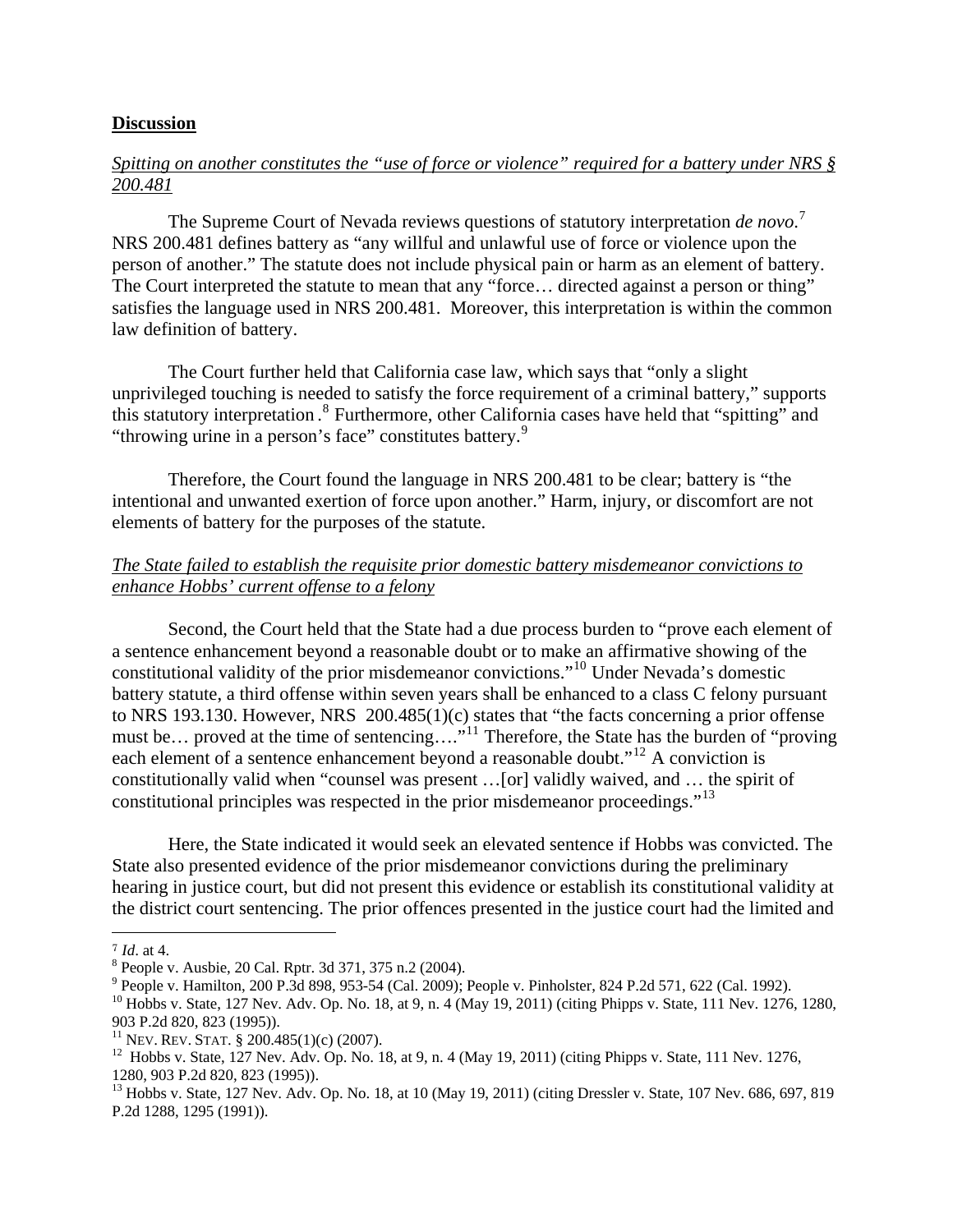#### **Discussion**

#### *Spitting on another constitutes the "use of force or violence" required for a battery under NRS § 200.481*

The Supreme Court of Nevada reviews questions of statutory interpretation *de novo*. [7](#page-2-0) NRS 200.481 defines battery as "any willful and unlawful use of force or violence upon the person of another." The statute does not include physical pain or harm as an element of battery. The Court interpreted the statute to mean that any "force… directed against a person or thing" satisfies the language used in NRS 200.481. Moreover, this interpretation is within the common law definition of battery.

The Court further held that California case law, which says that "only a slight unprivileged touching is needed to satisfy the force requirement of a criminal battery," supports this statutory interpretation.<sup>[8](#page-2-1)</sup> Furthermore, other California cases have held that "spitting" and "throwing urine in a person's face" constitutes battery.<sup>[9](#page-2-2)</sup>

Therefore, the Court found the language in NRS 200.481 to be clear; battery is "the intentional and unwanted exertion of force upon another." Harm, injury, or discomfort are not elements of battery for the purposes of the statute.

#### *The State failed to establish the requisite prior domestic battery misdemeanor convictions to enhance Hobbs' current offense to a felony*

Second, the Court held that the State had a due process burden to "prove each element of a sentence enhancement beyond a reasonable doubt or to make an affirmative showing of the constitutional validity of the prior misdemeanor convictions."[10](#page-2-3) Under Nevada's domestic battery statute, a third offense within seven years shall be enhanced to a class C felony pursuant to NRS 193.130. However, NRS 200.485(1)(c) states that "the facts concerning a prior offense must be… proved at the time of sentencing…."<sup>[11](#page-2-4)</sup> Therefore, the State has the burden of "proving" each element of a sentence enhancement beyond a reasonable doubt."<sup>[12](#page-2-5)</sup> A conviction is constitutionally valid when "counsel was present …[or] validly waived, and … the spirit of constitutional principles was respected in the prior misdemeanor proceedings."<sup>[13](#page-2-6)</sup>

Here, the State indicated it would seek an elevated sentence if Hobbs was convicted. The State also presented evidence of the prior misdemeanor convictions during the preliminary hearing in justice court, but did not present this evidence or establish its constitutional validity at the district court sentencing. The prior offences presented in the justice court had the limited and

<span id="page-2-0"></span> $^{7}$  *Id.* at 4.

<span id="page-2-1"></span>People v. Ausbie, 20 Cal. Rptr. 3d 371, 375 n.2 (2004).

<sup>&</sup>lt;sup>9</sup> People v. Hamilton, 200 P.3d 898, 953-54 (Cal. 2009); People v. Pinholster, 824 P.2d 571, 622 (Cal. 1992).

<span id="page-2-3"></span><span id="page-2-2"></span><sup>&</sup>lt;sup>10</sup> Hobbs v. State, 127 Nev. Adv. Op. No. 18, at 9, n. 4 (May 19, 2011) (citing Phipps v. State, 111 Nev. 1276, 1280, 903 P.2d 820, 823 (1995)).<br><sup>11</sup> Nev. Rev. Stat. § 200.485(1)(c) (2007).

<span id="page-2-4"></span>

<span id="page-2-5"></span><sup>&</sup>lt;sup>12</sup> Hobbs v. State, 127 Nev. Adv. Op. No. 18, at 9, n. 4 (May 19, 2011) (citing Phipps v. State, 111 Nev. 1276, 1280, 903 P.2d 820, 823 (1995)).

<span id="page-2-6"></span><sup>&</sup>lt;sup>13</sup> Hobbs v. State, 127 Nev. Adv. Op. No. 18, at 10 (May 19, 2011) (citing Dressler v. State, 107 Nev. 686, 697, 819 P.2d 1288, 1295 (1991)).